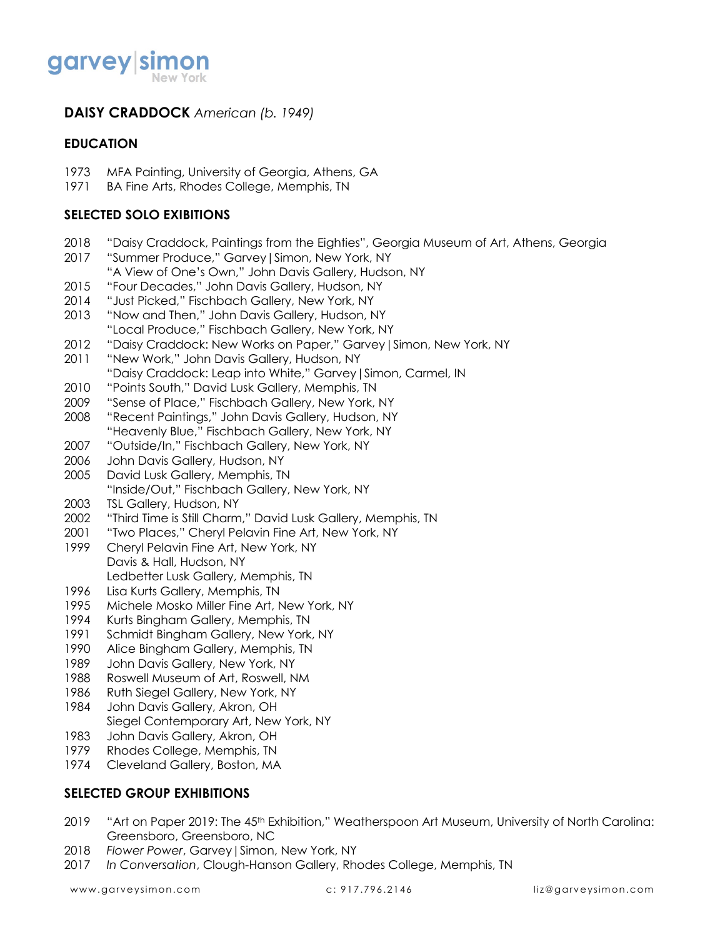

# **DAISY CRADDOCK** *American (b. 1949)*

### **EDUCATION**

- MFA Painting, University of Georgia, Athens, GA
- BA Fine Arts, Rhodes College, Memphis, TN

### **SELECTED SOLO EXIBITIONS**

- "Daisy Craddock, Paintings from the Eighties", Georgia Museum of Art, Athens, Georgia
- "Summer Produce," Garvey|Simon, New York, NY
- "A View of One's Own," John Davis Gallery, Hudson, NY
- "Four Decades," John Davis Gallery, Hudson, NY
- "Just Picked," Fischbach Gallery, New York, NY
- "Now and Then," John Davis Gallery, Hudson, NY
- "Local Produce," Fischbach Gallery, New York, NY
- "Daisy Craddock: New Works on Paper," Garvey|Simon, New York, NY
- 2011 "New Work," John Davis Gallery, Hudson, NY
- "Daisy Craddock: Leap into White," Garvey|Simon, Carmel, IN
- 2010 "Points South," David Lusk Gallery, Memphis, TN
- "Sense of Place," Fischbach Gallery, New York, NY
- "Recent Paintings," John Davis Gallery, Hudson, NY "Heavenly Blue," Fischbach Gallery, New York, NY
- "Outside/In," Fischbach Gallery, New York, NY
- John Davis Gallery, Hudson, NY
- David Lusk Gallery, Memphis, TN
	- "Inside/Out," Fischbach Gallery, New York, NY
- TSL Gallery, Hudson, NY
- "Third Time is Still Charm," David Lusk Gallery, Memphis, TN
- "Two Places," Cheryl Pelavin Fine Art, New York, NY
- Cheryl Pelavin Fine Art, New York, NY Davis & Hall, Hudson, NY Ledbetter Lusk Gallery, Memphis, TN
- Lisa Kurts Gallery, Memphis, TN
- Michele Mosko Miller Fine Art, New York, NY
- Kurts Bingham Gallery, Memphis, TN
- Schmidt Bingham Gallery, New York, NY
- Alice Bingham Gallery, Memphis, TN
- John Davis Gallery, New York, NY
- Roswell Museum of Art, Roswell, NM
- Ruth Siegel Gallery, New York, NY
- John Davis Gallery, Akron, OH
- Siegel Contemporary Art, New York, NY
- John Davis Gallery, Akron, OH
- Rhodes College, Memphis, TN
- Cleveland Gallery, Boston, MA

## **SELECTED GROUP EXHIBITIONS**

- 2019 "Art on Paper 2019: The 45<sup>th</sup> Exhibition," Weatherspoon Art Museum, University of North Carolina: Greensboro, Greensboro, NC
- *Flower Power*, Garvey|Simon, New York, NY
- *In Conversation*, Clough-Hanson Gallery, Rhodes College, Memphis, TN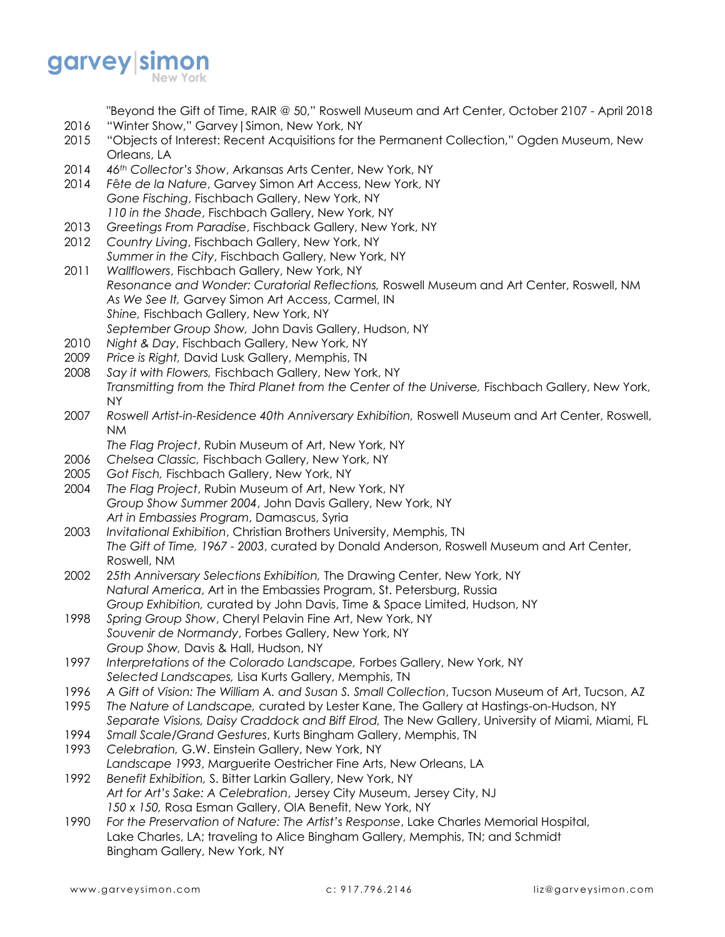

"Beyond the Gift of Time, RAIR @ 50," Roswell Museum and Art Center, October 2107 - April 2018

- 2016 "Winter Show," Garvey|Simon, New York, NY
- 2015 "Objects of Interest: Recent Acquisitions for the Permanent Collection," Ogden Museum, New Orleans, LA
- 2014 *46th Collector's Show*, Arkansas Arts Center, New York, NY
- 2014 *F*ê*te de la Nature*, Garvey Simon Art Access, New York, NY *Gone Fisching*, Fischbach Gallery, New York, NY *110 in the Shade*, Fischbach Gallery, New York, NY
- 2013 *Greetings From Paradise*, Fischback Gallery, New York, NY
- 2012 *Country Living*, Fischbach Gallery, New York, NY
- *Summer in the City*, Fischbach Gallery, New York, NY
- 2011 *Wallflowers*, Fischbach Gallery, New York, NY *Resonance and Wonder: Curatorial Reflections,* Roswell Museum and Art Center, Roswell, NM *As We See It,* Garvey Simon Art Access, Carmel, IN *Shine,* Fischbach Gallery, New York, NY *September Group Show,* John Davis Gallery, Hudson, NY
- 2010 *Night & Day*, Fischbach Gallery, New York, NY
- 2009 *Price is Right,* David Lusk Gallery, Memphis, TN
- 2008 *Say it with Flowers,* Fischbach Gallery, New York, NY *Transmitting from the Third Planet from the Center of the Universe,* Fischbach Gallery, New York, NY
- 2007 *Roswell Artist-in-Residence 40th Anniversary Exhibition,* Roswell Museum and Art Center, Roswell, NM
	- *The Flag Project*, Rubin Museum of Art, New York, NY
- 2006 *Chelsea Classic,* Fischbach Gallery, New York, NY
- 2005 *Got Fisch,* Fischbach Gallery, New York, NY
- 2004 *The Flag Project*, Rubin Museum of Art, New York, NY *Group Show Summer 2004*, John Davis Gallery, New York, NY *Art in Embassies Program*, Damascus, Syria
- 2003 *Invitational Exhibition*, Christian Brothers University, Memphis, TN *The Gift of Time, 1967 - 2003*, curated by Donald Anderson, Roswell Museum and Art Center, Roswell, NM
- 2002 *25th Anniversary Selections Exhibition,* The Drawing Center, New York, NY *Natural America*, Art in the Embassies Program, St. Petersburg, Russia *Group Exhibition,* curated by John Davis, Time & Space Limited, Hudson, NY
- 1998 *Spring Group Show*, Cheryl Pelavin Fine Art, New York, NY *Souvenir de Normandy*, Forbes Gallery, New York, NY *Group Show,* Davis & Hall, Hudson, NY
- 1997 *Interpretations of the Colorado Landscape,* Forbes Gallery, New York, NY *Selected Landscapes,* Lisa Kurts Gallery, Memphis, TN
- 1996 *A Gift of Vision: The William A. and Susan S. Small Collection*, Tucson Museum of Art, Tucson, AZ
- 1995 *The Nature of Landscape,* curated by Lester Kane, The Gallery at Hastings-on-Hudson, NY *Separate Visions, Daisy Craddock and Biff Elrod,* The New Gallery, University of Miami, Miami, FL
- 1994 *Small Scale/Grand Gestures*, Kurts Bingham Gallery, Memphis, TN
- 1993 *Celebration,* G.W. Einstein Gallery, New York, NY
- *Landscape 1993*, Marguerite Oestricher Fine Arts, New Orleans, LA 1992 *Benefit Exhibition,* S. Bitter Larkin Gallery, New York, NY
- *Art for Art's Sake: A Celebration*, Jersey City Museum, Jersey City, NJ *150 x 150,* Rosa Esman Gallery, OIA Benefit, New York, NY
- 1990 *For the Preservation of Nature: The Artist's Response*, Lake Charles Memorial Hospital, Lake Charles, LA; traveling to Alice Bingham Gallery, Memphis, TN; and Schmidt Bingham Gallery, New York, NY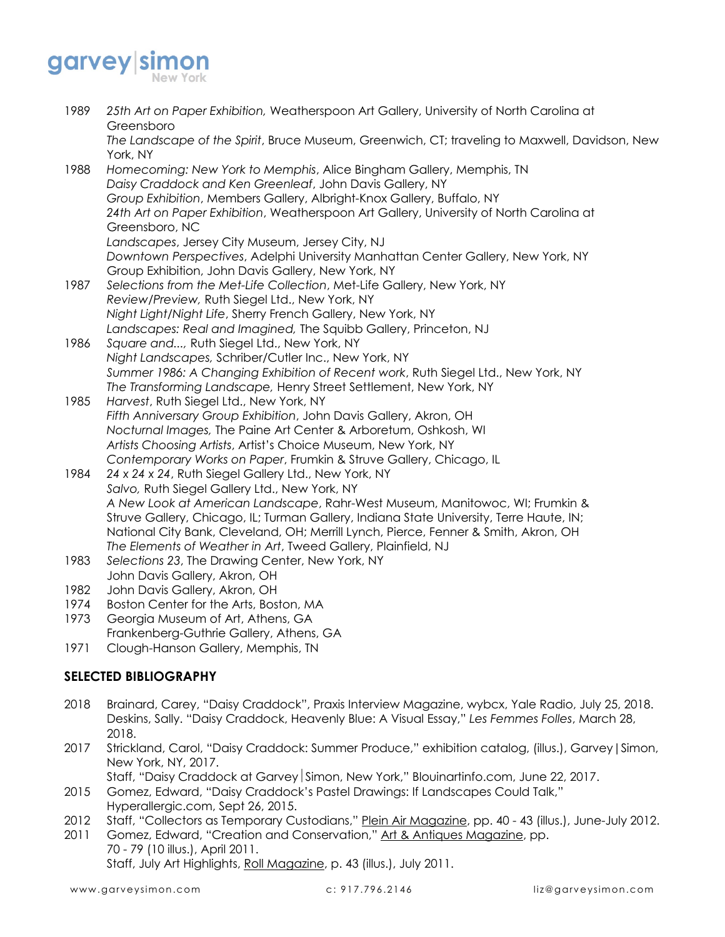# garvey simon

| 1989<br>1988 | 25th Art on Paper Exhibition, Weatherspoon Art Gallery, University of North Carolina at       |
|--------------|-----------------------------------------------------------------------------------------------|
|              | Greensboro                                                                                    |
|              | The Landscape of the Spirit, Bruce Museum, Greenwich, CT; traveling to Maxwell, Davidson, New |
|              | York, NY<br>Homecoming: New York to Memphis, Alice Bingham Gallery, Memphis, TN               |
|              |                                                                                               |
|              | Daisy Craddock and Ken Greenleaf, John Davis Gallery, NY                                      |
|              | Group Exhibition, Members Gallery, Albright-Knox Gallery, Buffalo, NY                         |
|              | 24th Art on Paper Exhibition, Weatherspoon Art Gallery, University of North Carolina at       |
|              | Greensboro, NC                                                                                |
|              | Landscapes, Jersey City Museum, Jersey City, NJ                                               |
|              | Downtown Perspectives, Adelphi University Manhattan Center Gallery, New York, NY              |
|              | Group Exhibition, John Davis Gallery, New York, NY                                            |
| 1987         | Selections from the Met-Life Collection, Met-Life Gallery, New York, NY                       |
|              | Review/Preview, Ruth Siegel Ltd., New York, NY                                                |
|              | Night Light/Night Life, Sherry French Gallery, New York, NY                                   |
|              | Landscapes: Real and Imagined, The Squibb Gallery, Princeton, NJ                              |
| 1986         | Square and, Ruth Siegel Ltd., New York, NY                                                    |
|              | Night Landscapes, Schriber/Cutler Inc., New York, NY                                          |
|              | Summer 1986: A Changing Exhibition of Recent work, Ruth Siegel Ltd., New York, NY             |
|              | The Transforming Landscape, Henry Street Settlement, New York, NY                             |
| 1985         | Harvest, Ruth Siegel Ltd., New York, NY                                                       |
|              | Fifth Anniversary Group Exhibition, John Davis Gallery, Akron, OH                             |
|              | Nocturnal Images, The Paine Art Center & Arboretum, Oshkosh, WI                               |
|              | Artists Choosing Artists, Artist's Choice Museum, New York, NY                                |
|              | Contemporary Works on Paper, Frumkin & Struve Gallery, Chicago, IL                            |
| 1984         | 24 x 24 x 24, Ruth Siegel Gallery Ltd., New York, NY                                          |
|              | Salvo, Ruth Siegel Gallery Ltd., New York, NY                                                 |
|              | A New Look at American Landscape, Rahr-West Museum, Manitowoc, WI; Frumkin &                  |
|              | Struve Gallery, Chicago, IL; Turman Gallery, Indiana State University, Terre Haute, IN;       |
|              | National City Bank, Cleveland, OH; Merrill Lynch, Pierce, Fenner & Smith, Akron, OH           |
|              | The Elements of Weather in Art, Tweed Gallery, Plainfield, NJ                                 |
| 1983         | Selections 23, The Drawing Center, New York, NY                                               |
|              | John Davis Gallery, Akron, OH                                                                 |
| 1982         | John Davis Gallen, Almon, OH                                                                  |

- 1982 John Davis Gallery, Akron, OH
- 1974 Boston Center for the Arts, Boston, MA
- 1973 Georgia Museum of Art, Athens, GA Frankenberg-Guthrie Gallery, Athens, GA
- 1971 Clough-Hanson Gallery, Memphis, TN

# **SELECTED BIBLIOGRAPHY**

- 2018 Brainard, Carey, "Daisy Craddock", Praxis Interview Magazine, wybcx, Yale Radio, July 25, 2018. Deskins, Sally. "Daisy Craddock, Heavenly Blue: A Visual Essay," *Les Femmes Folles*, March 28, 2018.
- 2017 Strickland, Carol, "Daisy Craddock: Summer Produce," exhibition catalog, (illus.), Garvey|Simon, New York, NY, 2017.
	- Staff, "Daisy Craddock at Garvey Simon, New York," Blouinartinfo.com, June 22, 2017.
- 2015 Gomez, Edward, "Daisy Craddock's Pastel Drawings: If Landscapes Could Talk," Hyperallergic.com, Sept 26, 2015.
- 2012 Staff, "Collectors as Temporary Custodians," Plein Air Magazine, pp. 40 43 (illus.), June-July 2012.
- 2011 Gomez, Edward, "Creation and Conservation," Art & Antiques Magazine, pp. 70 - 79 (10 illus.), April 2011.

Staff, July Art Highlights, Roll Magazine, p. 43 (illus.), July 2011.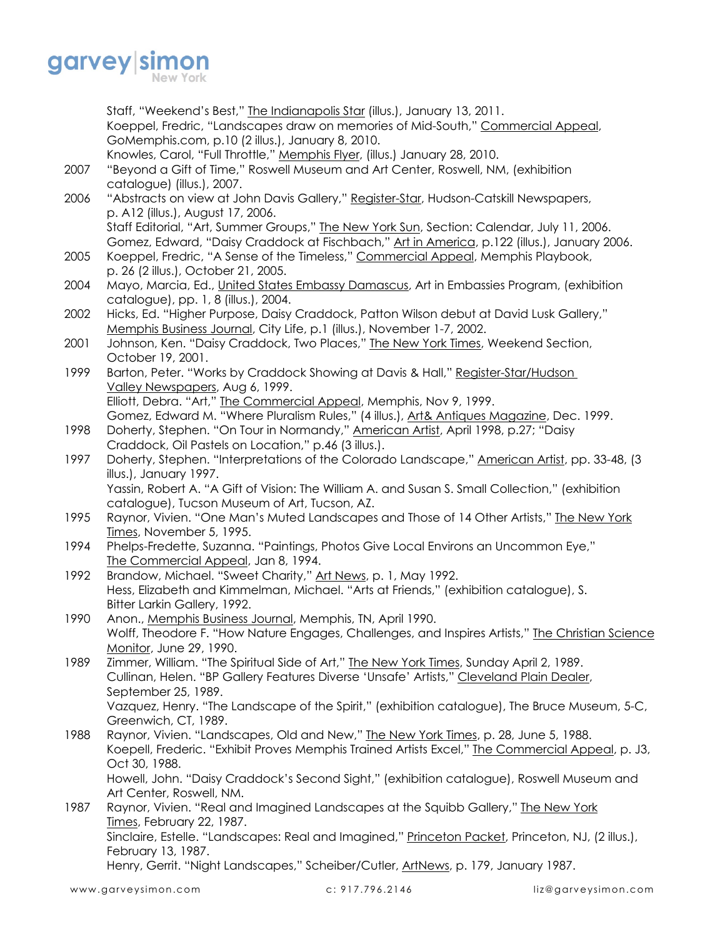

Staff, "Weekend's Best," The Indianapolis Star (illus.), January 13, 2011. Koeppel, Fredric, "Landscapes draw on memories of Mid-South," Commercial Appeal, GoMemphis.com, p.10 (2 illus.), January 8, 2010. Knowles, Carol, "Full Throttle," Memphis Flyer, (illus.) January 28, 2010. 2007 "Beyond a Gift of Time," Roswell Museum and Art Center, Roswell, NM, (exhibition catalogue) (illus.), 2007. 2006 "Abstracts on view at John Davis Gallery," Register-Star, Hudson-Catskill Newspapers, p. A12 (illus.), August 17, 2006. Staff Editorial, "Art, Summer Groups," The New York Sun, Section: Calendar, July 11, 2006. Gomez, Edward, "Daisy Craddock at Fischbach," Art in America, p.122 (illus.), January 2006. 2005 Koeppel, Fredric, "A Sense of the Timeless," Commercial Appeal, Memphis Playbook, p. 26 (2 illus.), October 21, 2005. 2004 Mayo, Marcia, Ed., United States Embassy Damascus, Art in Embassies Program, (exhibition catalogue), pp. 1, 8 (illus.), 2004. 2002 Hicks, Ed. "Higher Purpose, Daisy Craddock, Patton Wilson debut at David Lusk Gallery," Memphis Business Journal, City Life, p.1 (illus.), November 1-7, 2002. 2001 Johnson, Ken. "Daisy Craddock, Two Places," The New York Times, Weekend Section, October 19, 2001. 1999 Barton, Peter. "Works by Craddock Showing at Davis & Hall," Register-Star/Hudson Valley Newspapers, Aug 6, 1999. Elliott, Debra. "Art," The Commercial Appeal, Memphis, Nov 9, 1999. Gomez, Edward M. "Where Pluralism Rules," (4 illus.), Art& Antiques Magazine, Dec. 1999. 1998 Doherty, Stephen. "On Tour in Normandy," American Artist, April 1998, p.27; "Daisy Craddock, Oil Pastels on Location," p.46 (3 illus.). 1997 Doherty, Stephen. "Interpretations of the Colorado Landscape," American Artist, pp. 33-48, (3) illus.), January 1997. Yassin, Robert A. "A Gift of Vision: The William A. and Susan S. Small Collection," (exhibition catalogue), Tucson Museum of Art, Tucson, AZ. 1995 Raynor, Vivien. "One Man's Muted Landscapes and Those of 14 Other Artists," The New York Times, November 5, 1995. 1994 Phelps-Fredette, Suzanna. "Paintings, Photos Give Local Environs an Uncommon Eye," The Commercial Appeal, Jan 8, 1994. 1992 Brandow, Michael. "Sweet Charity," Art News, p. 1, May 1992. Hess, Elizabeth and Kimmelman, Michael. "Arts at Friends," (exhibition catalogue), S. Bitter Larkin Gallery, 1992. 1990 Anon., Memphis Business Journal, Memphis, TN, April 1990. Wolff, Theodore F. "How Nature Engages, Challenges, and Inspires Artists," The Christian Science Monitor, June 29, 1990. 1989 Zimmer, William. "The Spiritual Side of Art," The New York Times, Sunday April 2, 1989. Cullinan, Helen. "BP Gallery Features Diverse 'Unsafe' Artists," Cleveland Plain Dealer, September 25, 1989. Vazquez, Henry. "The Landscape of the Spirit," (exhibition catalogue), The Bruce Museum, 5-C, Greenwich, CT, 1989. 1988 Raynor, Vivien. "Landscapes, Old and New," The New York Times, p. 28, June 5, 1988. Koepell, Frederic. "Exhibit Proves Memphis Trained Artists Excel," The Commercial Appeal, p. J3, Oct 30, 1988. Howell, John. "Daisy Craddock's Second Sight," (exhibition catalogue), Roswell Museum and Art Center, Roswell, NM. 1987 Raynor, Vivien. "Real and Imagined Landscapes at the Squibb Gallery," The New York Times, February 22, 1987. Sinclaire, Estelle. "Landscapes: Real and Imagined," Princeton Packet, Princeton, NJ, (2 illus.), February 13, 1987. Henry, Gerrit. "Night Landscapes," Scheiber/Cutler, ArtNews, p. 179, January 1987.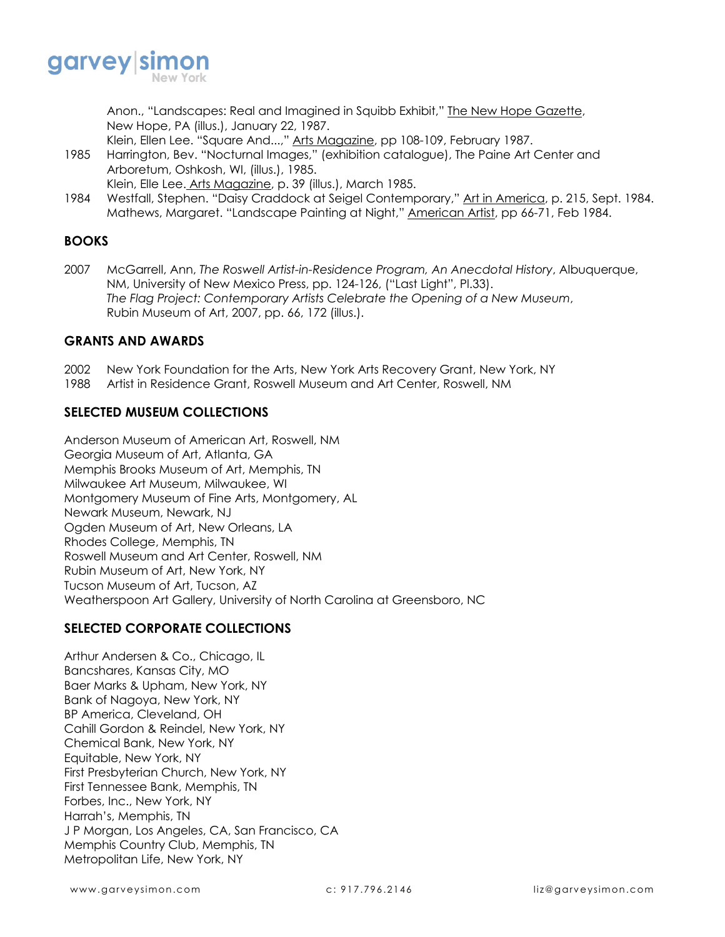

Anon., "Landscapes: Real and Imagined in Squibb Exhibit," The New Hope Gazette, New Hope, PA (illus.), January 22, 1987.

Klein, Ellen Lee. "Square And...," Arts Magazine, pp 108-109, February 1987.

- 1985 Harrington, Bev. "Nocturnal Images," (exhibition catalogue), The Paine Art Center and Arboretum, Oshkosh, WI, (illus.), 1985. Klein, Elle Lee. Arts Magazine, p. 39 (illus.), March 1985.
- 1984 Westfall, Stephen. "Daisy Craddock at Seigel Contemporary," Art in America, p. 215, Sept. 1984. Mathews, Margaret. "Landscape Painting at Night," American Artist, pp 66-71, Feb 1984.

# **BOOKS**

2007 McGarrell, Ann, *The Roswell Artist-in-Residence Program, An Anecdotal History*, Albuquerque, NM, University of New Mexico Press, pp. 124-126, ("Last Light", Pl.33). *The Flag Project: Contemporary Artists Celebrate the Opening of a New Museum*, Rubin Museum of Art, 2007, pp. 66, 172 (illus.).

### **GRANTS AND AWARDS**

- 2002 New York Foundation for the Arts, New York Arts Recovery Grant, New York, NY
- 1988 Artist in Residence Grant, Roswell Museum and Art Center, Roswell, NM

## **SELECTED MUSEUM COLLECTIONS**

Anderson Museum of American Art, Roswell, NM Georgia Museum of Art, Atlanta, GA Memphis Brooks Museum of Art, Memphis, TN Milwaukee Art Museum, Milwaukee, WI Montgomery Museum of Fine Arts, Montgomery, AL Newark Museum, Newark, NJ Ogden Museum of Art, New Orleans, LA Rhodes College, Memphis, TN Roswell Museum and Art Center, Roswell, NM Rubin Museum of Art, New York, NY Tucson Museum of Art, Tucson, AZ Weatherspoon Art Gallery, University of North Carolina at Greensboro, NC

## **SELECTED CORPORATE COLLECTIONS**

Arthur Andersen & Co., Chicago, IL Bancshares, Kansas City, MO Baer Marks & Upham, New York, NY Bank of Nagoya, New York, NY BP America, Cleveland, OH Cahill Gordon & Reindel, New York, NY Chemical Bank, New York, NY Equitable, New York, NY First Presbyterian Church, New York, NY First Tennessee Bank, Memphis, TN Forbes, Inc., New York, NY Harrah's, Memphis, TN J P Morgan, Los Angeles, CA, San Francisco, CA Memphis Country Club, Memphis, TN Metropolitan Life, New York, NY